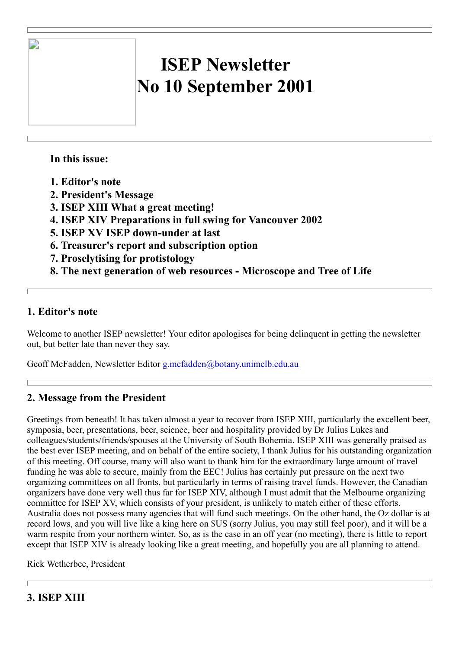# **ISEP Newsletter No 10 September 2001**

## **In this issue:**

 $\overline{\phantom{a}}$ 

- **1. Editor's note**
- **2. President's Message**
- **3. ISEP XIII What a great meeting!**
- **4. ISEP XIV Preparations in full swing for Vancouver 2002**
- **5. ISEP XV ISEP down-under at last**
- **6. Treasurer's report and subscription option**
- **7. Proselytising for protistology**
- **8. The next generation of web resources - Microscope and Tree of Life**

## **1. Editor's note**

Welcome to another ISEP newsletter! Your editor apologises for being delinquent in getting the newsletter out, but better late than never they say.

Geoff McFadden, Newsletter Editor [g.mcfadden@botany.unimelb.edu.au](mailto:g.mcfadden@botany.unimelb.edu.au)

## **2. Message from the President**

Greetings from beneath! It has taken almost a year to recover from ISEP XIII, particularly the excellent beer, symposia, beer, presentations, beer, science, beer and hospitality provided by Dr Julius Lukes and colleagues/students/friends/spouses at the University of South Bohemia. ISEP XIII was generally praised as the best ever ISEP meeting, and on behalf of the entire society, I thank Julius for his outstanding organization of this meeting. Off course, many will also want to thank him for the extraordinary large amount of travel funding he was able to secure, mainly from the EEC! Julius has certainly put pressure on the next two organizing committees on all fronts, but particularly in terms of raising travel funds. However, the Canadian organizers have done very well thus far for ISEP XIV, although I must admit that the Melbourne organizing committee for ISEP XV, which consists of your president, is unlikely to match either of these efforts. Australia does not possess many agencies that will fund such meetings. On the other hand, the Oz dollar is at record lows, and you will live like a king here on \$US (sorry Julius, you may still feel poor), and it will be a warm respite from your northern winter. So, as is the case in an off year (no meeting), there is little to report except that ISEP XIV is already looking like a great meeting, and hopefully you are all planning to attend.

Rick Wetherbee, President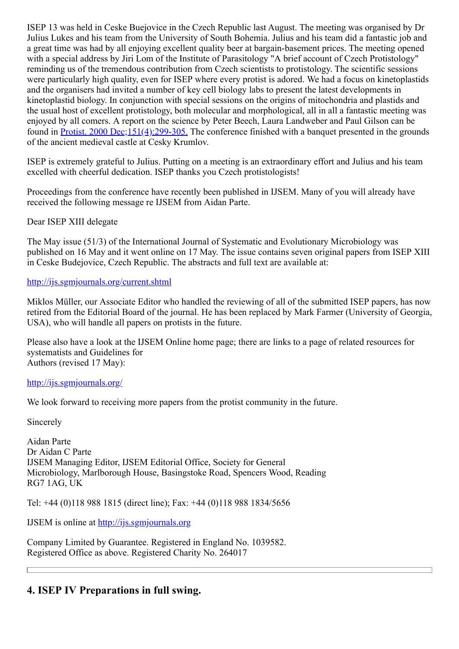ISEP 13 was held in Ceske Buejovice in the Czech Republic last August. The meeting was organised by Dr Julius Lukes and his team from the University of South Bohemia. Julius and his team did a fantastic job and a great time was had by all enjoying excellent quality beer at bargain-basement prices. The meeting opened with a special address by Jiri Lom of the Institute of Parasitology "A brief account of Czech Protistology" reminding us of the tremendous contribution from Czech scientists to protistology. The scientific sessions were particularly high quality, even for ISEP where every protist is adored. We had a focus on kinetoplastids and the organisers had invited a number of key cell biology labs to present the latest developments in kinetoplastid biology. In conjunction with special sessions on the origins of mitochondria and plastids and the usual host of excellent protistology, both molecular and morphological, all in all a fantastic meeting was enjoyed by all comers. A report on the science by Peter Beech, Laura Landweber and Paul Gilson can be found in [Protist. 2000 Dec;151\(4\):299-305.](http://www.ncbi.nlm.nih.gov/entrez/query.fcgi?cmd=Retrieve&db=PubMed&list_uids=11212890&dopt=Abstract) The conference finished with a banquet presented in the grounds of the ancient medieval castle at Cesky Krumlov.

ISEP is extremely grateful to Julius. Putting on a meeting is an extraordinary effort and Julius and his team excelled with cheerful dedication. ISEP thanks you Czech protistologists!

Proceedings from the conference have recently been published in IJSEM. Many of you will already have received the following message re IJSEM from Aidan Parte.

Dear ISEP XIII delegate

The May issue (51/3) of the International Journal of Systematic and Evolutionary Microbiology was published on 16 May and it went online on 17 May. The issue contains seven original papers from ISEP XIII in Ceske Budejovice, Czech Republic. The abstracts and full text are available at:

<http://ijs.sgmjournals.org/current.shtml>

Miklos Müller, our Associate Editor who handled the reviewing of all of the submitted ISEP papers, has now retired from the Editorial Board of the journal. He has been replaced by Mark Farmer (University of Georgia, USA), who will handle all papers on protists in the future.

Please also have a look at the IJSEM Online home page; there are links to a page of related resources for systematists and Guidelines for Authors (revised 17 May):

#### <http://ijs.sgmjournals.org/>

We look forward to receiving more papers from the protist community in the future.

Sincerely

Aidan Parte Dr Aidan C Parte IJSEM Managing Editor, IJSEM Editorial Office, Society for General Microbiology, Marlborough House, Basingstoke Road, Spencers Wood, Reading RG7 1AG, UK

Tel: +44 (0)118 988 1815 (direct line); Fax: +44 (0)118 988 1834/5656

IJSEM is online at [http://ijs.sgmjournals.org](http://ijs.sgmjournals.org/)

Company Limited by Guarantee. Registered in England No. 1039582. Registered Office as above. Registered Charity No. 264017

## **4. ISEP IV Preparations in full swing.**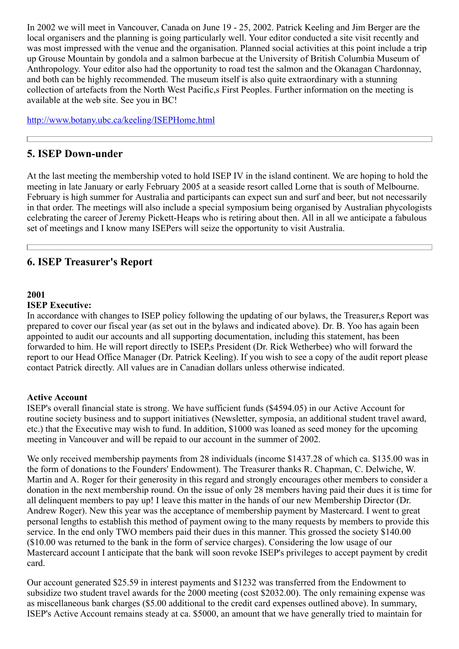In 2002 we will meet in Vancouver, Canada on June 19 - 25, 2002. Patrick Keeling and Jim Berger are the local organisers and the planning is going particularly well. Your editor conducted a site visit recently and was most impressed with the venue and the organisation. Planned social activities at this point include a trip up Grouse Mountain by gondola and a salmon barbecue at the University of British Columbia Museum of Anthropology. Your editor also had the opportunity to road test the salmon and the Okanagan Chardonnay, and both can be highly recommended. The museum itself is also quite extraordinary with a stunning collection of artefacts from the North West Pacific,s First Peoples. Further information on the meeting is available at the web site. See you in BC!

<http://www.botany.ubc.ca/keeling/ISEPHome.html>

## **5. ISEP Down-under**

At the last meeting the membership voted to hold ISEP IV in the island continent. We are hoping to hold the meeting in late January or early February 2005 at a seaside resort called Lorne that is south of Melbourne. February is high summer for Australia and participants can expect sun and surf and beer, but not necessarily in that order. The meetings will also include a special symposium being organised by Australian phycologists celebrating the career of Jeremy Pickett-Heaps who is retiring about then. All in all we anticipate a fabulous set of meetings and I know many ISEPers will seize the opportunity to visit Australia.

## **6. ISEP Treasurer's Report**

#### **2001**

#### **ISEP Executive:**

In accordance with changes to ISEP policy following the updating of our bylaws, the Treasurer,s Report was prepared to cover our fiscal year (as set out in the bylaws and indicated above). Dr. B. Yoo has again been appointed to audit our accounts and all supporting documentation, including this statement, has been forwarded to him. He will report directly to ISEP,s President (Dr. Rick Wetherbee) who will forward the report to our Head Office Manager (Dr. Patrick Keeling). If you wish to see a copy of the audit report please contact Patrick directly. All values are in Canadian dollars unless otherwise indicated.

#### **Active Account**

ISEP's overall financial state is strong. We have sufficient funds (\$4594.05) in our Active Account for routine society business and to support initiatives (Newsletter, symposia, an additional student travel award, etc.) that the Executive may wish to fund. In addition, \$1000 was loaned as seed money for the upcoming meeting in Vancouver and will be repaid to our account in the summer of 2002.

We only received membership payments from 28 individuals (income \$1437.28 of which ca. \$135.00 was in the form of donations to the Founders' Endowment). The Treasurer thanks R. Chapman, C. Delwiche, W. Martin and A. Roger for their generosity in this regard and strongly encourages other members to consider a donation in the next membership round. On the issue of only 28 members having paid their dues it is time for all delinquent members to pay up! I leave this matter in the hands of our new Membership Director (Dr. Andrew Roger). New this year was the acceptance of membership payment by Mastercard. I went to great personal lengths to establish this method of payment owing to the many requests by members to provide this service. In the end only TWO members paid their dues in this manner. This grossed the society \$140.00 (\$10.00 was returned to the bank in the form of service charges). Considering the low usage of our Mastercard account I anticipate that the bank will soon revoke ISEP's privileges to accept payment by credit card.

Our account generated \$25.59 in interest payments and \$1232 was transferred from the Endowment to subsidize two student travel awards for the 2000 meeting (cost \$2032.00). The only remaining expense was as miscellaneous bank charges (\$5.00 additional to the credit card expenses outlined above). In summary, ISEP's Active Account remains steady at ca. \$5000, an amount that we have generally tried to maintain for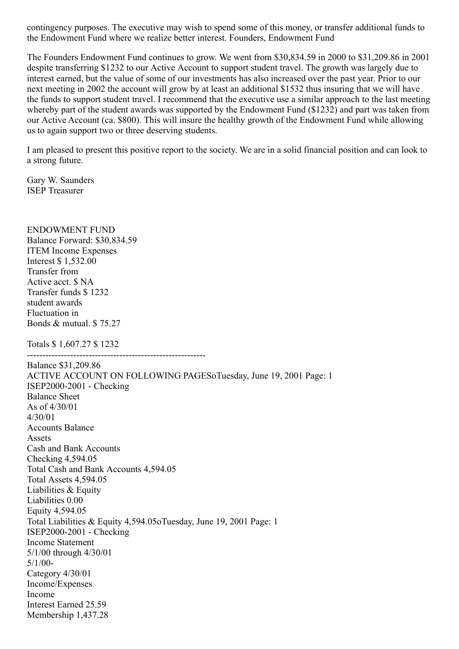contingency purposes. The executive may wish to spend some of this money, or transfer additional funds to the Endowment Fund where we realize better interest. Founders, Endowment Fund

The Founders Endowment Fund continues to grow. We went from \$30,834.59 in 2000 to \$31,209.86 in 2001 despite transferring \$1232 to our Active Account to support student travel. The growth was largely due to interest earned, but the value of some of our investments has also increased over the past year. Prior to our next meeting in 2002 the account will grow by at least an additional \$1532 thus insuring that we will have the funds to support student travel. I recommend that the executive use a similar approach to the last meeting whereby part of the student awards was supported by the Endowment Fund (\$1232) and part was taken from our Active Account (ca. \$800). This will insure the healthy growth of the Endowment Fund while allowing us to again support two or three deserving students.

I am pleased to present this positive report to the society. We are in a solid financial position and can look to a strong future.

Gary W. Saunders ISEP Treasurer

ENDOWMENT FUND Balance Forward: \$30,834.59 ITEM Income Expenses Interest \$ 1,532.00 Transfer from Active acct. \$ NA Transfer funds \$ 1232 student awards Fluctuation in Bonds & mutual. \$ 75.27 Totals \$ 1,607.27 \$ 1232 ---------------------------------------------------------- Balance \$31,209.86 ACTIVE ACCOUNT ON FOLLOWING PAGESoTuesday, June 19, 2001 Page: 1 ISEP2000-2001 - Checking Balance Sheet As of 4/30/01 4/30/01 Accounts Balance Assets Cash and Bank Accounts Checking 4,594.05 Total Cash and Bank Accounts 4,594.05 Total Assets 4,594.05 Liabilities & Equity Liabilities 0.00 Equity 4,594.05 Total Liabilities & Equity 4,594.05oTuesday, June 19, 2001 Page: 1 ISEP2000-2001 - Checking Income Statement 5/1/00 through 4/30/01 5/1/00- Category 4/30/01 Income/Expenses Income Interest Earned 25.59 Membership 1,437.28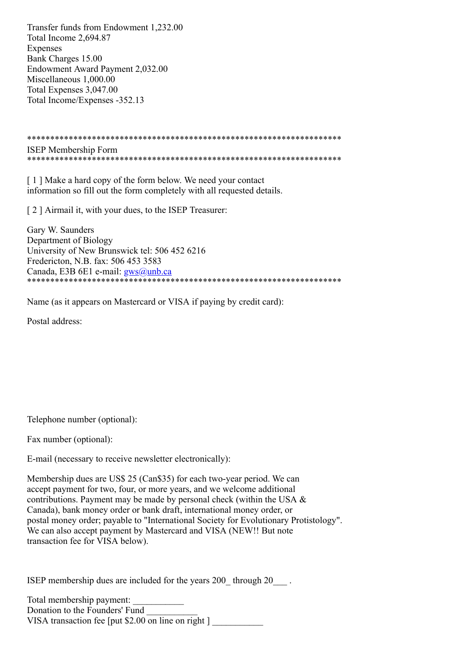Transfer funds from Endowment 1,232.00 Total Income 2,694.87 Expenses Bank Charges 15.00 Endowment Award Payment 2,032.00 Miscellaneous 1,000.00 Total Expenses 3,047.00 Total Income/Expenses -352.13

\*\*\*\*\*\*\*\*\*\*\*\*\*\*\*\*\*\*\*\*\*\*\*\*\*\*\*\*\*\*\*\*\*\*\*\*\*\*\*\*\*\*\*\*\*\*\*\*\*\*\*\*\*\*\*\*\*\*\*\*\*\*\*\*\*\*\*\* ISEP Membership Form \*\*\*\*\*\*\*\*\*\*\*\*\*\*\*\*\*\*\*\*\*\*\*\*\*\*\*\*\*\*\*\*\*\*\*\*\*\*\*\*\*\*\*\*\*\*\*\*\*\*\*\*\*\*\*\*\*\*\*\*\*\*\*\*\*\*\*\*

[1] Make a hard copy of the form below. We need your contact information so fill out the form completely with all requested details.

[ 2 ] Airmail it, with your dues, to the ISEP Treasurer:

Gary W. Saunders Department of Biology University of New Brunswick tel: 506 452 6216 Fredericton, N.B. fax: 506 453 3583 Canada, E3B 6E1 e-mail: [gws@unb.ca](mailto:gws@unb.ca) \*\*\*\*\*\*\*\*\*\*\*\*\*\*\*\*\*\*\*\*\*\*\*\*\*\*\*\*\*\*\*\*\*\*\*\*\*\*\*\*\*\*\*\*\*\*\*\*\*\*\*\*\*\*\*\*\*\*\*\*\*\*\*\*\*\*\*\*

Name (as it appears on Mastercard or VISA if paying by credit card):

Postal address:

Telephone number (optional):

Fax number (optional):

E-mail (necessary to receive newsletter electronically):

Membership dues are US\$ 25 (Can\$35) for each two-year period. We can accept payment for two, four, or more years, and we welcome additional contributions. Payment may be made by personal check (within the USA & Canada), bank money order or bank draft, international money order, or postal money order; payable to "International Society for Evolutionary Protistology". We can also accept payment by Mastercard and VISA (NEW!! But note transaction fee for VISA below).

ISEP membership dues are included for the years 200 through 20 .

Total membership payment: Donation to the Founders' Fund VISA transaction fee [put  $$2.00$  on line on right ]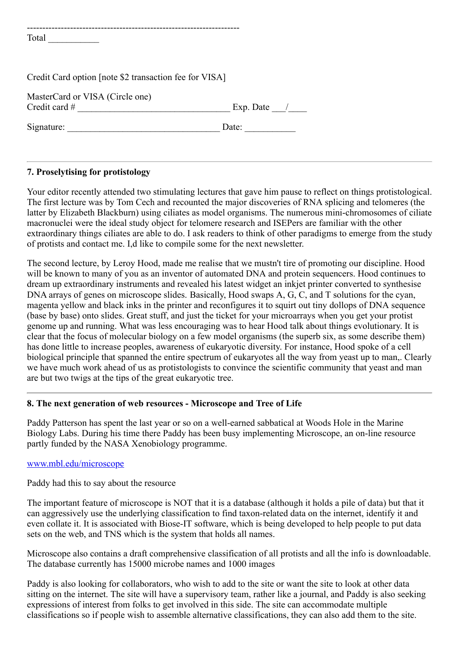| Credit Card option [note \$2 transaction fee for VISA] |           |
|--------------------------------------------------------|-----------|
| MasterCard or VISA (Circle one)<br>Credit card $#$     | Exp. Date |
| Signature:                                             | Date:     |

#### **7. Proselytising for protistology**

Your editor recently attended two stimulating lectures that gave him pause to reflect on things protistological. The first lecture was by Tom Cech and recounted the major discoveries of RNA splicing and telomeres (the latter by Elizabeth Blackburn) using ciliates as model organisms. The numerous mini-chromosomes of ciliate macronuclei were the ideal study object for telomere research and ISEPers are familiar with the other extraordinary things ciliates are able to do. I ask readers to think of other paradigms to emerge from the study of protists and contact me. I,d like to compile some for the next newsletter.

The second lecture, by Leroy Hood, made me realise that we mustn't tire of promoting our discipline. Hood will be known to many of you as an inventor of automated DNA and protein sequencers. Hood continues to dream up extraordinary instruments and revealed his latest widget an inkjet printer converted to synthesise DNA arrays of genes on microscope slides. Basically, Hood swaps A, G, C, and T solutions for the cyan, magenta yellow and black inks in the printer and reconfigures it to squirt out tiny dollops of DNA sequence (base by base) onto slides. Great stuff, and just the ticket for your microarrays when you get your protist genome up and running. What was less encouraging was to hear Hood talk about things evolutionary. It is clear that the focus of molecular biology on a few model organisms (the superb six, as some describe them) has done little to increase peoples, awareness of eukaryotic diversity. For instance, Hood spoke of a cell biological principle that spanned the entire spectrum of eukaryotes all the way from yeast up to man,. Clearly we have much work ahead of us as protistologists to convince the scientific community that yeast and man are but two twigs at the tips of the great eukaryotic tree.

### **8. The next generation of web resources - Microscope and Tree of Life**

Paddy Patterson has spent the last year or so on a well-earned sabbatical at Woods Hole in the Marine Biology Labs. During his time there Paddy has been busy implementing Microscope, an on-line resource partly funded by the NASA Xenobiology programme.

#### [www.mbl.edu/microscope](http://www.mbl.edu/microscope)

Paddy had this to say about the resource

The important feature of microscope is NOT that it is a database (although it holds a pile of data) but that it can aggressively use the underlying classification to find taxon-related data on the internet, identify it and even collate it. It is associated with Biose-IT software, which is being developed to help people to put data sets on the web, and TNS which is the system that holds all names.

Microscope also contains a draft comprehensive classification of all protists and all the info is downloadable. The database currently has 15000 microbe names and 1000 images

Paddy is also looking for collaborators, who wish to add to the site or want the site to look at other data sitting on the internet. The site will have a supervisory team, rather like a journal, and Paddy is also seeking expressions of interest from folks to get involved in this side. The site can accommodate multiple classifications so if people wish to assemble alternative classifications, they can also add them to the site.